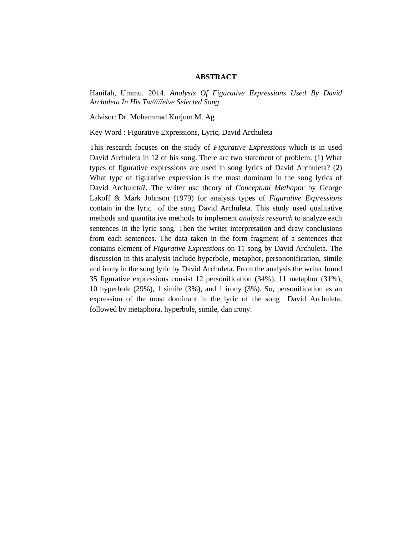## **ABSTRACT**

Hanifah, Ummu. 2014. *Analysis Of Figurative Expressions Used By David Archuleta In His Tw/////elve Selected Song.* 

Advisor: Dr. Mohammad Kurjum M. Ag

Key Word : Figurative Expressions, Lyric, David Archuleta

This research focuses on the study of *Figurative Expressions* which is in used David Archuleta in 12 of his song. There are two statement of problem: (1) What types of figurative expressions are used in song lyrics of David Archuleta? (2) What type of figurative expression is the most dominant in the song lyrics of David Archuleta?. The writer use theory of *Conceptual Methapor* by George Lakoff & Mark Johnson (1979) for analysis types of *Figurative Expressions* contain in the lyric of the song David Archuleta. This study used qualitative methods and quantitative methods to implement *analysis research* to analyze each sentences in the lyric song. Then the writer interpretation and draw conclusions from each sentences. The data taken in the form fragment of a sentences that contains element of *Figurative Expressions* on 11 song by David Archuleta. The discussion in this analysis include hyperbole, metaphor, persononification, simile and irony in the song lyric by David Archuleta. From the analysis the writer found 35 figurative expressions consist 12 personification (34%), 11 metaphor (31%), 10 hyperbole (29%), 1 simile (3%), and 1 irony (3%). So, personification as an expression of the most dominant in the lyric of the song David Archuleta, followed by metaphora, hyperbole, simile, dan irony.